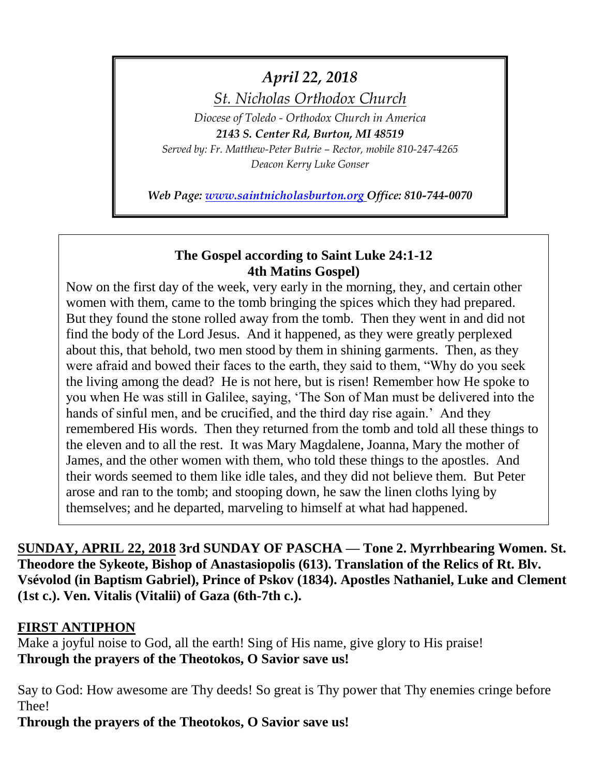# *April 22, 2018*

*St. Nicholas Orthodox Church*

*Diocese of Toledo - Orthodox Church in America*

*2143 S. Center Rd, Burton, MI 48519 Served by: Fr. Matthew-Peter Butrie – Rector, mobile 810-247-4265 Deacon Kerry Luke Gonser*

*Web Page: [www.saintnicholasburton.org](http://www.saintnicholasburton.org/) Office: 810-744-0070*

## **The Gospel according to Saint Luke 24:1-12 4th Matins Gospel)**

Now on the first day of the week, very early in the morning, they, and certain other women with them, came to the tomb bringing the spices which they had prepared. But they found the stone rolled away from the tomb. Then they went in and did not find the body of the Lord Jesus. And it happened, as they were greatly perplexed about this, that behold, two men stood by them in shining garments. Then, as they were afraid and bowed their faces to the earth, they said to them, "Why do you seek the living among the dead? He is not here, but is risen! Remember how He spoke to you when He was still in Galilee, saying, 'The Son of Man must be delivered into the hands of sinful men, and be crucified, and the third day rise again.' And they remembered His words. Then they returned from the tomb and told all these things to the eleven and to all the rest. It was Mary Magdalene, Joanna, Mary the mother of James, and the other women with them, who told these things to the apostles. And their words seemed to them like idle tales, and they did not believe them. But Peter arose and ran to the tomb; and stooping down, he saw the linen cloths lying by themselves; and he departed, marveling to himself at what had happened.

**SUNDAY, APRIL 22, 2018 3rd SUNDAY OF PASCHA — Tone 2. Myrrhbearing Women. St. Theodore the Sykeote, Bishop of Anastasiopolis (613). Translation of the Relics of Rt. Blv. Vsévolod (in Baptism Gabriel), Prince of Pskov (1834). Apostles Nathaniel, Luke and Clement (1st c.). Ven. Vitalis (Vitalii) of Gaza (6th-7th c.).** 

# **FIRST ANTIPHON**

Make a joyful noise to God, all the earth! Sing of His name, give glory to His praise! **Through the prayers of the Theotokos, O Savior save us!**

Say to God: How awesome are Thy deeds! So great is Thy power that Thy enemies cringe before Thee!

**Through the prayers of the Theotokos, O Savior save us!**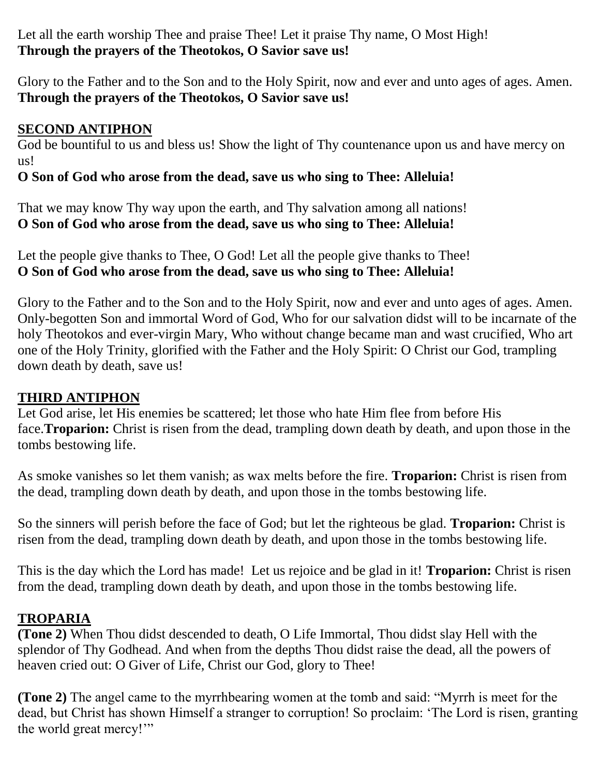Let all the earth worship Thee and praise Thee! Let it praise Thy name, O Most High! **Through the prayers of the Theotokos, O Savior save us!**

Glory to the Father and to the Son and to the Holy Spirit, now and ever and unto ages of ages. Amen. **Through the prayers of the Theotokos, O Savior save us!**

# **SECOND ANTIPHON**

God be bountiful to us and bless us! Show the light of Thy countenance upon us and have mercy on us!

# **O Son of God who arose from the dead, save us who sing to Thee: Alleluia!**

That we may know Thy way upon the earth, and Thy salvation among all nations! **O Son of God who arose from the dead, save us who sing to Thee: Alleluia!**

Let the people give thanks to Thee, O God! Let all the people give thanks to Thee! **O Son of God who arose from the dead, save us who sing to Thee: Alleluia!**

Glory to the Father and to the Son and to the Holy Spirit, now and ever and unto ages of ages. Amen. Only-begotten Son and immortal Word of God, Who for our salvation didst will to be incarnate of the holy Theotokos and ever-virgin Mary, Who without change became man and wast crucified, Who art one of the Holy Trinity, glorified with the Father and the Holy Spirit: O Christ our God, trampling down death by death, save us!

# **THIRD ANTIPHON**

Let God arise, let His enemies be scattered; let those who hate Him flee from before His face.**Troparion:** Christ is risen from the dead, trampling down death by death, and upon those in the tombs bestowing life.

As smoke vanishes so let them vanish; as wax melts before the fire. **Troparion:** Christ is risen from the dead, trampling down death by death, and upon those in the tombs bestowing life.

So the sinners will perish before the face of God; but let the righteous be glad. **Troparion:** Christ is risen from the dead, trampling down death by death, and upon those in the tombs bestowing life.

This is the day which the Lord has made! Let us rejoice and be glad in it! **Troparion:** Christ is risen from the dead, trampling down death by death, and upon those in the tombs bestowing life.

# **TROPARIA**

**(Tone 2)** When Thou didst descended to death, O Life Immortal, Thou didst slay Hell with the splendor of Thy Godhead. And when from the depths Thou didst raise the dead, all the powers of heaven cried out: O Giver of Life, Christ our God, glory to Thee!

**(Tone 2)** The angel came to the myrrhbearing women at the tomb and said: "Myrrh is meet for the dead, but Christ has shown Himself a stranger to corruption! So proclaim: 'The Lord is risen, granting the world great mercy!'"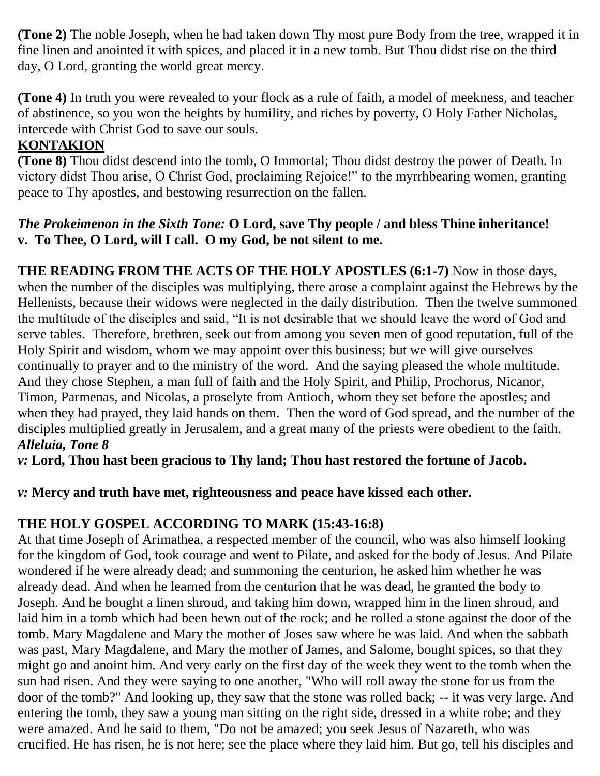**(Tone 2)** The noble Joseph, when he had taken down Thy most pure Body from the tree, wrapped it in fine linen and anointed it with spices, and placed it in a new tomb. But Thou didst rise on the third day, O Lord, granting the world great mercy.

**(Tone 4)** In truth you were revealed to your flock as a rule of faith, a model of meekness, and teacher of abstinence, so you won the heights by humility, and riches by poverty, O Holy Father Nicholas, intercede with Christ God to save our souls.

# **KONTAKION**

**(Tone 8)** Thou didst descend into the tomb, O Immortal; Thou didst destroy the power of Death. In victory didst Thou arise, O Christ God, proclaiming Rejoice!" to the myrrhbearing women, granting peace to Thy apostles, and bestowing resurrection on the fallen.

## *The Prokeimenon in the Sixth Tone:* **O Lord, save Thy people / and bless Thine inheritance! v. To Thee, O Lord, will I call. O my God, be not silent to me.**

**THE READING FROM THE ACTS OF THE HOLY APOSTLES (6:1-7)** Now in those days, when the number of the disciples was multiplying, there arose a complaint against the Hebrews by the Hellenists, because their widows were neglected in the daily distribution. Then the twelve summoned the multitude of the disciples and said, "It is not desirable that we should leave the word of God and serve tables. Therefore, brethren, seek out from among you seven men of good reputation, full of the Holy Spirit and wisdom, whom we may appoint over this business; but we will give ourselves continually to prayer and to the ministry of the word. And the saying pleased the whole multitude. And they chose Stephen, a man full of faith and the Holy Spirit, and Philip, Prochorus, Nicanor, Timon, Parmenas, and Nicolas, a proselyte from Antioch, whom they set before the apostles; and when they had prayed, they laid hands on them. Then the word of God spread, and the number of the disciples multiplied greatly in Jerusalem, and a great many of the priests were obedient to the faith. *Alleluia, Tone 8*

*v:* **Lord, Thou hast been gracious to Thy land; Thou hast restored the fortune of Jacob.**

# *v:* **Mercy and truth have met, righteousness and peace have kissed each other.**

# **THE HOLY GOSPEL ACCORDING TO MARK (15:43-16:8)**

At that time Joseph of Arimathea, a respected member of the council, who was also himself looking for the kingdom of God, took courage and went to Pilate, and asked for the body of Jesus. And Pilate wondered if he were already dead; and summoning the centurion, he asked him whether he was already dead. And when he learned from the centurion that he was dead, he granted the body to Joseph. And he bought a linen shroud, and taking him down, wrapped him in the linen shroud, and laid him in a tomb which had been hewn out of the rock; and he rolled a stone against the door of the tomb. Mary Magdalene and Mary the mother of Joses saw where he was laid. And when the sabbath was past, Mary Magdalene, and Mary the mother of James, and Salome, bought spices, so that they might go and anoint him. And very early on the first day of the week they went to the tomb when the sun had risen. And they were saying to one another, "Who will roll away the stone for us from the door of the tomb?" And looking up, they saw that the stone was rolled back; -- it was very large. And entering the tomb, they saw a young man sitting on the right side, dressed in a white robe; and they were amazed. And he said to them, "Do not be amazed; you seek Jesus of Nazareth, who was crucified. He has risen, he is not here; see the place where they laid him. But go, tell his disciples and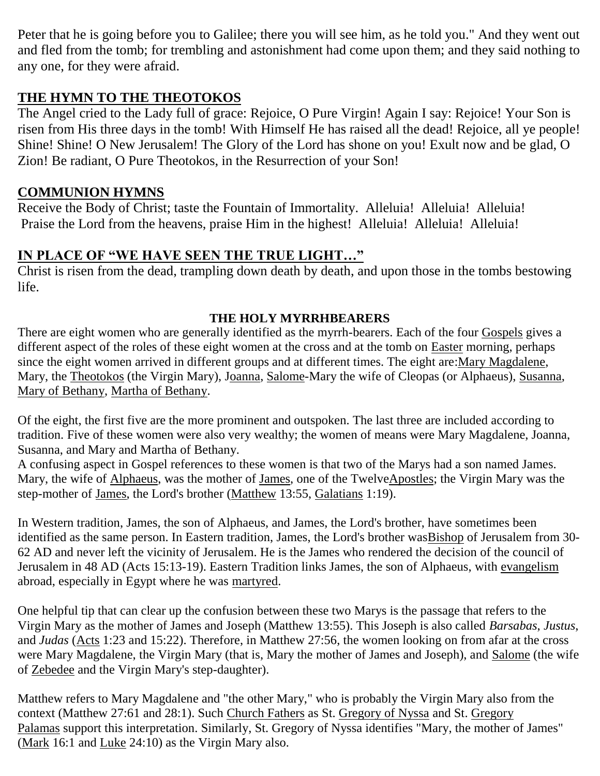Peter that he is going before you to Galilee; there you will see him, as he told you." And they went out and fled from the tomb; for trembling and astonishment had come upon them; and they said nothing to any one, for they were afraid.

# **THE HYMN TO THE THEOTOKOS**

The Angel cried to the Lady full of grace: Rejoice, O Pure Virgin! Again I say: Rejoice! Your Son is risen from His three days in the tomb! With Himself He has raised all the dead! Rejoice, all ye people! Shine! Shine! O New Jerusalem! The Glory of the Lord has shone on you! Exult now and be glad, O Zion! Be radiant, O Pure Theotokos, in the Resurrection of your Son!

# **COMMUNION HYMNS**

Receive the Body of Christ; taste the Fountain of Immortality. Alleluia! Alleluia! Alleluia! Praise the Lord from the heavens, praise Him in the highest! Alleluia! Alleluia! Alleluia!

# **IN PLACE OF "WE HAVE SEEN THE TRUE LIGHT…"**

Christ is risen from the dead, trampling down death by death, and upon those in the tombs bestowing life.

## **THE HOLY MYRRHBEARERS**

There are eight women who are generally identified as the myrrh-bearers. Each of the four [Gospels](https://orthodoxwiki.org/Gospels) gives a different aspect of the roles of these eight women at the cross and at the tomb on [Easter](https://orthodoxwiki.org/Easter) morning, perhaps since the eight women arrived in different groups and at different times. The eight are[:Mary Magdalene,](https://orthodoxwiki.org/Mary_Magdalene) Mary, the [Theotokos](https://orthodoxwiki.org/Theotokos) (the Virgin Mary), [Joanna,](https://orthodoxwiki.org/Joanna) [Salome-](https://orthodoxwiki.org/Salome)Mary the wife of Cleopas (or Alphaeus), [Susanna,](https://orthodoxwiki.org/Susanna_the_Myrrh-Bearer) [Mary of Bethany,](https://orthodoxwiki.org/Mary_of_Bethany) [Martha of Bethany.](https://orthodoxwiki.org/Martha_of_Bethany)

Of the eight, the first five are the more prominent and outspoken. The last three are included according to tradition. Five of these women were also very wealthy; the women of means were Mary Magdalene, Joanna, Susanna, and Mary and Martha of Bethany.

A confusing aspect in Gospel references to these women is that two of the Marys had a son named James. Mary, the wife of [Alphaeus,](https://orthodoxwiki.org/Apostle_Alphaeus) was the mother of [James,](https://orthodoxwiki.org/Apostle_James_(son_of_Alphaeus)) one of the Twelv[eApostles;](https://orthodoxwiki.org/Apostles) the Virgin Mary was the step-mother of [James,](https://orthodoxwiki.org/Apostle_James_the_Just) the Lord's brother [\(Matthew](https://orthodoxwiki.org/Gospel_of_Matthew) 13:55, [Galatians](https://orthodoxwiki.org/Galatians) 1:19).

In Western tradition, James, the son of Alphaeus, and James, the Lord's brother, have sometimes been identified as the same person. In Eastern tradition, James, the Lord's brother wa[sBishop](https://orthodoxwiki.org/Bishop) of Jerusalem from 30- 62 AD and never left the vicinity of Jerusalem. He is the James who rendered the decision of the council of Jerusalem in 48 AD (Acts 15:13-19). Eastern Tradition links James, the son of Alphaeus, with [evangelism](https://orthodoxwiki.org/Evangelism) abroad, especially in Egypt where he was [martyred.](https://orthodoxwiki.org/Martyr)

One helpful tip that can clear up the confusion between these two Marys is the passage that refers to the Virgin Mary as the mother of James and Joseph (Matthew 13:55). This Joseph is also called *Barsabas*, *Justus*, and *Judas* [\(Acts](https://orthodoxwiki.org/Acts_of_the_Apostles) 1:23 and 15:22). Therefore, in Matthew 27:56, the women looking on from afar at the cross were Mary Magdalene, the Virgin Mary (that is, Mary the mother of James and Joseph), and [Salome](https://orthodoxwiki.org/Salome) (the wife of [Zebedee](https://orthodoxwiki.org/Zebedee) and the Virgin Mary's step-daughter).

Matthew refers to Mary Magdalene and "the other Mary," who is probably the Virgin Mary also from the context (Matthew 27:61 and 28:1). Such [Church Fathers](https://orthodoxwiki.org/Church_Fathers) as St. [Gregory of Nyssa](https://orthodoxwiki.org/Gregory_of_Nyssa) and St. [Gregory](https://orthodoxwiki.org/Gregory_Palamas)  [Palamas](https://orthodoxwiki.org/Gregory_Palamas) support this interpretation. Similarly, St. Gregory of Nyssa identifies "Mary, the mother of James" [\(Mark](https://orthodoxwiki.org/Gospel_of_Mark) 16:1 and [Luke](https://orthodoxwiki.org/Gospel_of_Luke) 24:10) as the Virgin Mary also.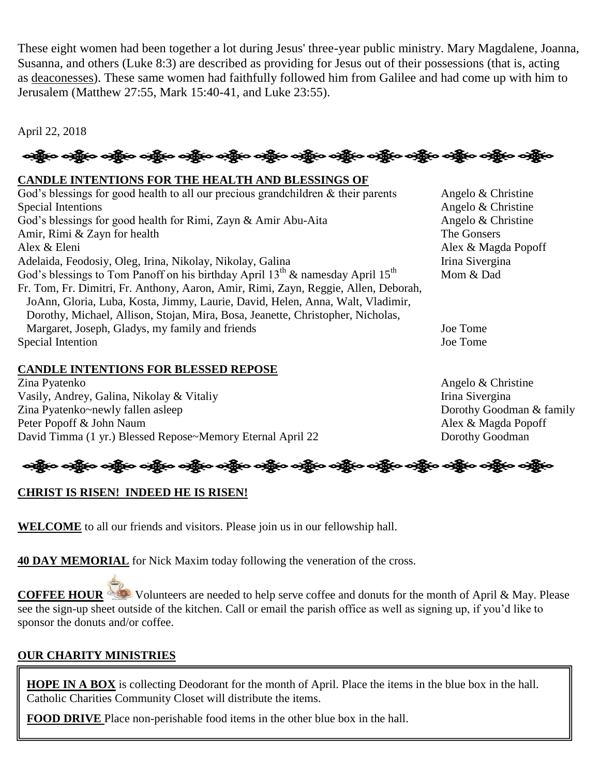These eight women had been together a lot during Jesus' three-year public ministry. Mary Magdalene, Joanna, Susanna, and others (Luke 8:3) are described as providing for Jesus out of their possessions (that is, acting as [deaconesses\)](https://orthodoxwiki.org/Deaconess). These same women had faithfully followed him from Galilee and had come up with him to Jerusalem (Matthew 27:55, Mark 15:40-41, and Luke 23:55).

April 22, 2018

# ခရွို့က ခရွိက သန္တို့က ခရွိက သန္တို့က သန္တို့က သန္တို့က သန္တို့က သန္တိုက သန္တိုက သန္တိုက သန္တိုက သန္တိုက သန္တိ

#### **CANDLE INTENTIONS FOR THE HEALTH AND BLESSINGS OF**

God's blessings for good health to all our precious grandchildren  $\&$  their parents Angelo  $\&$  Christine Special Intentions Angelo & Christine God's blessings for good health for Rimi, Zayn & Amir Abu-Aita Angelo & Christine Amir, Rimi & Zayn for health The Gonsers Alex & Eleni Alex & Magda Popoff Adelaida, Feodosiy, Oleg, Irina, Nikolay, Nikolay, Galina Irina Sivergina God's blessings to Tom Panoff on his birthday April  $13^{th}$  & namesday April  $15^{th}$  Mom & Dad Fr. Tom, Fr. Dimitri, Fr. Anthony, Aaron, Amir, Rimi, Zayn, Reggie, Allen, Deborah, JoAnn, Gloria, Luba, Kosta, Jimmy, Laurie, David, Helen, Anna, Walt, Vladimir, Dorothy, Michael, Allison, Stojan, Mira, Bosa, Jeanette, Christopher, Nicholas, Margaret, Joseph, Gladys, my family and friends Joe Tome Special Intention Joe Tome

#### **CANDLE INTENTIONS FOR BLESSED REPOSE**

Zina Pyatenko Angelo & Christine Vasily, Andrey, Galina, Nikolay & Vitaliy Irina Sivergina Zina Pyatenko~newly fallen asleep Dorothy Goodman & family Peter Popoff & John Naum Alex & Magda Popoff David Timma (1 yr.) Blessed Repose~Memory Eternal April 22 Dorothy Goodman

# ခရွိပြော ခရွိပြော ခရွိပြော ခရိုက် ခရိုက် ခရိုက် ခရိုက် ခရိုက် ခရိုက် ခရိုက် ခရိုက် ခရိုက် ခရိုက် ခရိုက်

### **CHRIST IS RISEN! INDEED HE IS RISEN!**

**WELCOME** to all our friends and visitors. Please join us in our fellowship hall.

**40 DAY MEMORIAL** for Nick Maxim today following the veneration of the cross.

**COFFEE HOUR** Volunteers are needed to help serve coffee and donuts for the month of April & May. Please see the sign-up sheet outside of the kitchen. Call or email the parish office as well as signing up, if you'd like to sponsor the donuts and/or coffee.

# **OUR CHARITY MINISTRIES**

**HOPE IN A BOX** is collecting Deodorant for the month of April. Place the items in the blue box in the hall. Catholic Charities Community Closet will distribute the items.

**FOOD DRIVE** Place non-perishable food items in the other blue box in the hall.